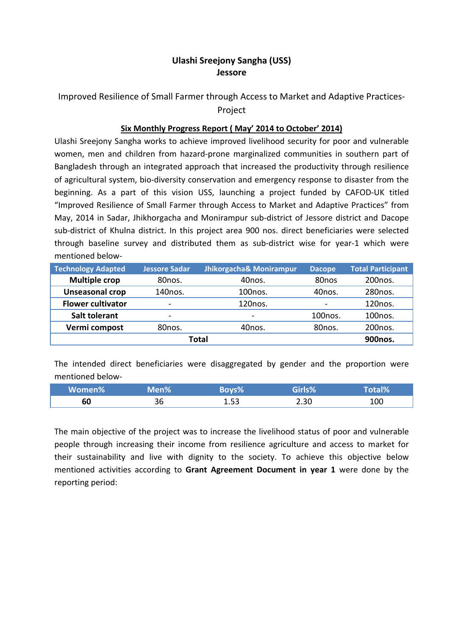### **Ulashi Sreejony Sangha (USS) Jessore**

# Improved Resilience of Small Farmer through Access to Market and Adaptive Practices-Project

### **Six Monthly Progress Report ( May' 2014 to October' 2014)**

Ulashi Sreejony Sangha works to achieve improved livelihood security for poor and vulnerable women, men and children from hazard-prone marginalized communities in southern part of Bangladesh through an integrated approach that increased the productivity through resilience of agricultural system, bio-diversity conservation and emergency response to disaster from the beginning. As a part of this vision USS, launching a project funded by CAFOD-UK titled "Improved Resilience of Small Farmer through Access to Market and Adaptive Practices" from May, 2014 in Sadar, Jhikhorgacha and Monirampur sub-district of Jessore district and Dacope sub-district of Khulna district. In this project area 900 nos. direct beneficiaries were selected through baseline survey and distributed them as sub-district wise for year-1 which were mentioned below-

| <b>Technology Adapted</b> | <b>Jessore Sadar</b>     | Jhikorgacha& Monirampur      | <b>Dacope</b>            | <b>Total Participant</b> |
|---------------------------|--------------------------|------------------------------|--------------------------|--------------------------|
| <b>Multiple crop</b>      | 80nos.                   | 40nos.                       | 80 <sub>nos</sub>        | 200 <sub>nos</sub> .     |
| <b>Unseasonal crop</b>    | 140nos.                  | 100 <sub>nos</sub> .         | 40nos.                   | 280 <sub>nos</sub> .     |
| <b>Flower cultivator</b>  | $\overline{\phantom{a}}$ | 120 <sub>nos</sub> .         | $\overline{\phantom{0}}$ | 120 <sub>nos</sub> .     |
| <b>Salt tolerant</b>      | $\overline{\phantom{a}}$ | $\qquad \qquad \blacksquare$ | 100 <sub>nos</sub> .     | 100 <sub>nos</sub> .     |
| Vermi compost             | 80nos.                   | 40nos.                       | 80nos.                   | 200nos.                  |
| <b>Total</b>              |                          |                              | 900nos.                  |                          |

The intended direct beneficiaries were disaggregated by gender and the proportion were mentioned below-

| Women% | Men%\ |              | Girls% | al% |
|--------|-------|--------------|--------|-----|
| 60     | 36    | 1 53<br>ᅩ.JJ | 2.30   | 100 |

The main objective of the project was to increase the livelihood status of poor and vulnerable people through increasing their income from resilience agriculture and access to market for their sustainability and live with dignity to the society. To achieve this objective below mentioned activities according to **Grant Agreement Document in year 1** were done by the reporting period: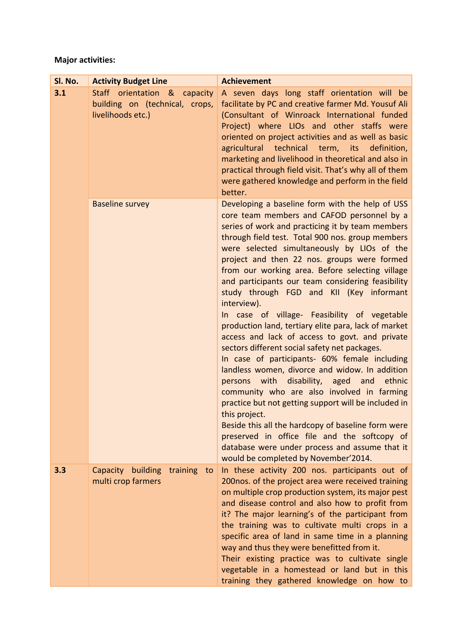# **Major activities:**

| Sl. No. | <b>Activity Budget Line</b>                                                         | <b>Achievement</b>                                                                                                                                                                                                                                                                                                                                                                                                                                                                                                                                                                                                                                                                                                                                                                                                                                                                                                                                                                                                                                                                                                                                      |
|---------|-------------------------------------------------------------------------------------|---------------------------------------------------------------------------------------------------------------------------------------------------------------------------------------------------------------------------------------------------------------------------------------------------------------------------------------------------------------------------------------------------------------------------------------------------------------------------------------------------------------------------------------------------------------------------------------------------------------------------------------------------------------------------------------------------------------------------------------------------------------------------------------------------------------------------------------------------------------------------------------------------------------------------------------------------------------------------------------------------------------------------------------------------------------------------------------------------------------------------------------------------------|
| 3.1     | Staff orientation & capacity<br>building on (technical, crops,<br>livelihoods etc.) | A seven days long staff orientation will be<br>facilitate by PC and creative farmer Md. Yousuf Ali<br>(Consultant of Winroack International funded<br>Project) where LIOs and other staffs were<br>oriented on project activities and as well as basic<br>agricultural technical term, its definition,<br>marketing and livelihood in theoretical and also in<br>practical through field visit. That's why all of them<br>were gathered knowledge and perform in the field<br>better.                                                                                                                                                                                                                                                                                                                                                                                                                                                                                                                                                                                                                                                                   |
|         | <b>Baseline survey</b>                                                              | Developing a baseline form with the help of USS<br>core team members and CAFOD personnel by a<br>series of work and practicing it by team members<br>through field test. Total 900 nos. group members<br>were selected simultaneously by LIOs of the<br>project and then 22 nos. groups were formed<br>from our working area. Before selecting village<br>and participants our team considering feasibility<br>study through FGD and KII (Key informant<br>interview).<br>In case of village- Feasibility of vegetable<br>production land, tertiary elite para, lack of market<br>access and lack of access to govt. and private<br>sectors different social safety net packages.<br>In case of participants- 60% female including<br>landless women, divorce and widow. In addition<br>persons with disability, aged and ethnic<br>community who are also involved in farming<br>practice but not getting support will be included in<br>this project.<br>Beside this all the hardcopy of baseline form were<br>preserved in office file and the softcopy of<br>database were under process and assume that it<br>would be completed by November'2014. |
| 3.3     | Capacity building<br>training to<br>multi crop farmers                              | In these activity 200 nos. participants out of<br>200nos. of the project area were received training<br>on multiple crop production system, its major pest<br>and disease control and also how to profit from<br>it? The major learning's of the participant from<br>the training was to cultivate multi crops in a<br>specific area of land in same time in a planning<br>way and thus they were benefitted from it.<br>Their existing practice was to cultivate single<br>vegetable in a homestead or land but in this<br>training they gathered knowledge on how to                                                                                                                                                                                                                                                                                                                                                                                                                                                                                                                                                                                  |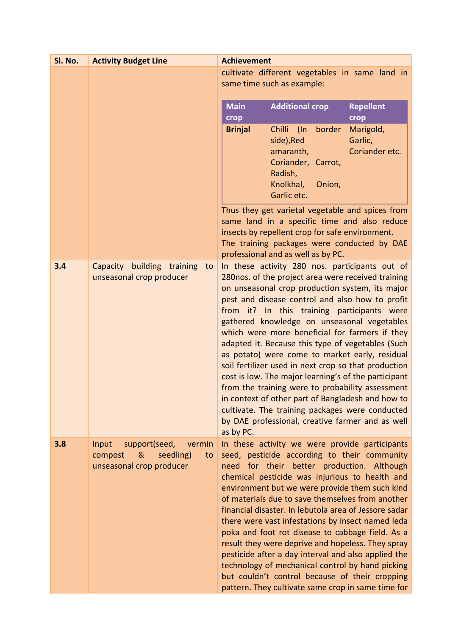| SI. No. | <b>Activity Budget Line</b>                                  | <b>Achievement</b>                                                                                           |
|---------|--------------------------------------------------------------|--------------------------------------------------------------------------------------------------------------|
|         |                                                              | cultivate different vegetables in same land in                                                               |
|         |                                                              | same time such as example:                                                                                   |
|         |                                                              | <b>Main</b><br><b>Repellent</b><br><b>Additional crop</b>                                                    |
|         |                                                              | crop<br>crop                                                                                                 |
|         |                                                              | border<br><b>Brinjal</b><br>Chilli (In<br>Marigold,                                                          |
|         |                                                              | side), Red<br>Garlic,<br>Coriander etc.<br>amaranth,                                                         |
|         |                                                              | Coriander, Carrot,                                                                                           |
|         |                                                              | Radish,                                                                                                      |
|         |                                                              | Knolkhal,<br>Onion,                                                                                          |
|         |                                                              | Garlic etc.                                                                                                  |
|         |                                                              | Thus they get varietal vegetable and spices from<br>same land in a specific time and also reduce             |
|         |                                                              | insects by repellent crop for safe environment.                                                              |
|         |                                                              | The training packages were conducted by DAE                                                                  |
|         |                                                              | professional and as well as by PC.                                                                           |
| 3.4     | Capacity building training<br>to<br>unseasonal crop producer | In these activity 280 nos. participants out of<br>280nos. of the project area were received training         |
|         |                                                              | on unseasonal crop production system, its major                                                              |
|         |                                                              | pest and disease control and also how to profit                                                              |
|         |                                                              | from it? In this training participants were<br>gathered knowledge on unseasonal vegetables                   |
|         |                                                              | which were more beneficial for farmers if they                                                               |
|         |                                                              | adapted it. Because this type of vegetables (Such                                                            |
|         |                                                              | as potato) were come to market early, residual                                                               |
|         |                                                              | soil fertilizer used in next crop so that production<br>cost is low. The major learning's of the participant |
|         |                                                              | from the training were to probability assessment                                                             |
|         |                                                              | in context of other part of Bangladesh and how to                                                            |
|         |                                                              | cultivate. The training packages were conducted<br>by DAE professional, creative farmer and as well          |
|         |                                                              | as by PC.                                                                                                    |
| 3.8     | Input<br>support(seed,<br>vermin                             | In these activity we were provide participants                                                               |
|         | &<br>seedling)<br>compost<br>to                              | seed, pesticide according to their community                                                                 |
|         | unseasonal crop producer                                     | need for their better production. Although<br>chemical pesticide was injurious to health and                 |
|         |                                                              | environment but we were provide them such kind                                                               |
|         |                                                              | of materials due to save themselves from another                                                             |
|         |                                                              | financial disaster. In lebutola area of Jessore sadar<br>there were vast infestations by insect named leda   |
|         |                                                              | poka and foot rot disease to cabbage field. As a                                                             |
|         |                                                              | result they were deprive and hopeless. They spray                                                            |
|         |                                                              | pesticide after a day interval and also applied the                                                          |
|         |                                                              | technology of mechanical control by hand picking<br>but couldn't control because of their cropping           |
|         |                                                              | pattern. They cultivate same crop in same time for                                                           |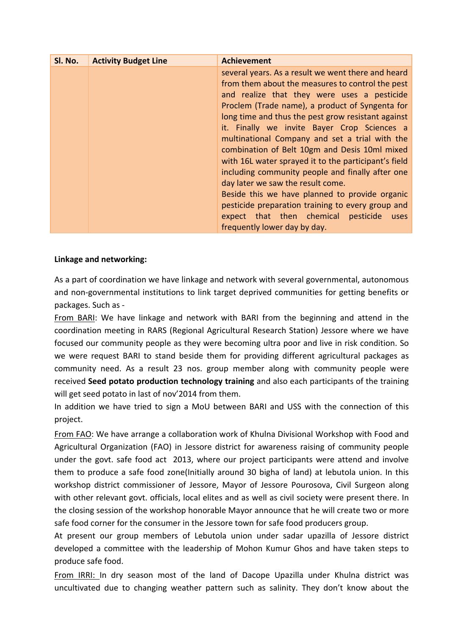| Sl. No. | <b>Activity Budget Line</b> | <b>Achievement</b>                                                                                                                                                                                                                                                                                                                                                                                                                                                                                                                                                                                                                                                                                                                                         |
|---------|-----------------------------|------------------------------------------------------------------------------------------------------------------------------------------------------------------------------------------------------------------------------------------------------------------------------------------------------------------------------------------------------------------------------------------------------------------------------------------------------------------------------------------------------------------------------------------------------------------------------------------------------------------------------------------------------------------------------------------------------------------------------------------------------------|
|         |                             | several years. As a result we went there and heard<br>from them about the measures to control the pest<br>and realize that they were uses a pesticide<br>Proclem (Trade name), a product of Syngenta for<br>long time and thus the pest grow resistant against<br>it. Finally we invite Bayer Crop Sciences a<br>multinational Company and set a trial with the<br>combination of Belt 10gm and Desis 10ml mixed<br>with 16L water sprayed it to the participant's field<br>including community people and finally after one<br>day later we saw the result come.<br>Beside this we have planned to provide organic<br>pesticide preparation training to every group and<br>expect that then chemical<br>pesticide<br>uses<br>frequently lower day by day. |

### **Linkage and networking:**

As a part of coordination we have linkage and network with several governmental, autonomous and non-governmental institutions to link target deprived communities for getting benefits or packages. Such as -

From BARI: We have linkage and network with BARI from the beginning and attend in the coordination meeting in RARS (Regional Agricultural Research Station) Jessore where we have focused our community people as they were becoming ultra poor and live in risk condition. So we were request BARI to stand beside them for providing different agricultural packages as community need. As a result 23 nos. group member along with community people were received **Seed potato production technology training** and also each participants of the training will get seed potato in last of nov'2014 from them.

In addition we have tried to sign a MoU between BARI and USS with the connection of this project.

From FAO: We have arrange a collaboration work of Khulna Divisional Workshop with Food and Agricultural Organization (FAO) in Jessore district for awareness raising of community people under the govt. safe food act 2013, where our project participants were attend and involve them to produce a safe food zone(Initially around 30 bigha of land) at lebutola union. In this workshop district commissioner of Jessore, Mayor of Jessore Pourosova, Civil Surgeon along with other relevant govt. officials, local elites and as well as civil society were present there. In the closing session of the workshop honorable Mayor announce that he will create two or more safe food corner for the consumer in the Jessore town for safe food producers group.

At present our group members of Lebutola union under sadar upazilla of Jessore district developed a committee with the leadership of Mohon Kumur Ghos and have taken steps to produce safe food.

From IRRI: In dry season most of the land of Dacope Upazilla under Khulna district was uncultivated due to changing weather pattern such as salinity. They don't know about the